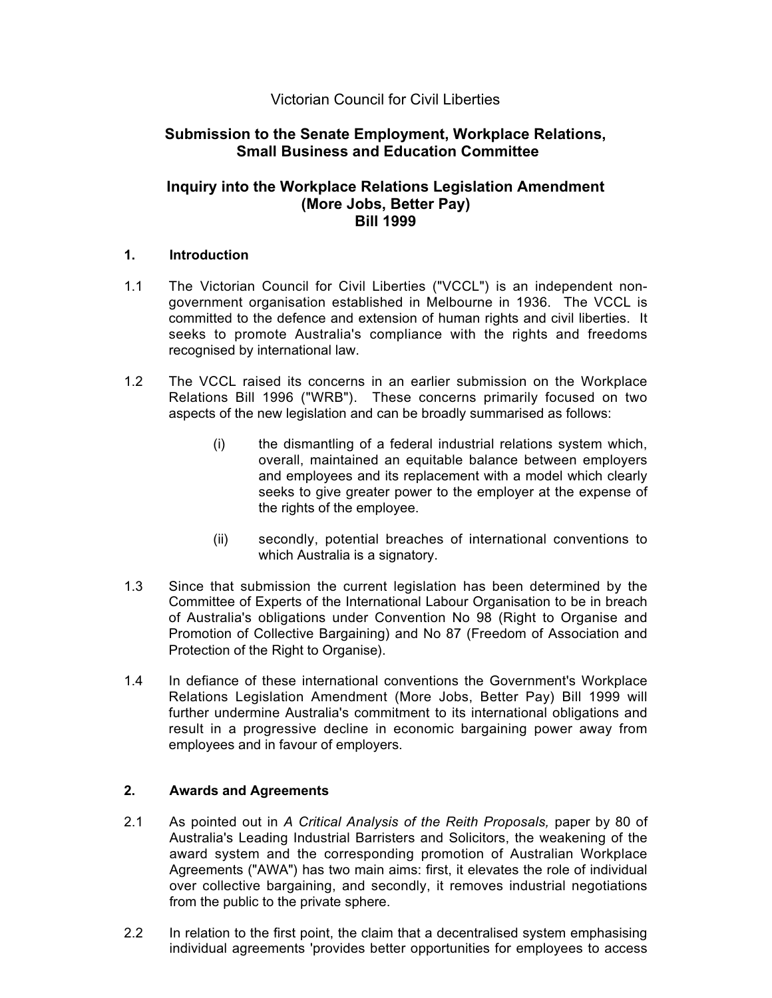# Victorian Council for Civil Liberties

# **Submission to the Senate Employment, Workplace Relations, Small Business and Education Committee**

### **Inquiry into the Workplace Relations Legislation Amendment (More Jobs, Better Pay) Bill 1999**

### **1. Introduction**

- 1.1 The Victorian Council for Civil Liberties ("VCCL") is an independent nongovernment organisation established in Melbourne in 1936. The VCCL is committed to the defence and extension of human rights and civil liberties. It seeks to promote Australia's compliance with the rights and freedoms recognised by international law.
- 1.2 The VCCL raised its concerns in an earlier submission on the Workplace Relations Bill 1996 ("WRB"). These concerns primarily focused on two aspects of the new legislation and can be broadly summarised as follows:
	- (i) the dismantling of a federal industrial relations system which, overall, maintained an equitable balance between employers and employees and its replacement with a model which clearly seeks to give greater power to the employer at the expense of the rights of the employee.
	- (ii) secondly, potential breaches of international conventions to which Australia is a signatory.
- 1.3 Since that submission the current legislation has been determined by the Committee of Experts of the International Labour Organisation to be in breach of Australia's obligations under Convention No 98 (Right to Organise and Promotion of Collective Bargaining) and No 87 (Freedom of Association and Protection of the Right to Organise).
- 1.4 In defiance of these international conventions the Government's Workplace Relations Legislation Amendment (More Jobs, Better Pay) Bill 1999 will further undermine Australia's commitment to its international obligations and result in a progressive decline in economic bargaining power away from employees and in favour of employers.

## **2. Awards and Agreements**

- 2.1 As pointed out in *A Critical Analysis of the Reith Proposals,* paper by 80 of Australia's Leading Industrial Barristers and Solicitors, the weakening of the award system and the corresponding promotion of Australian Workplace Agreements ("AWA") has two main aims: first, it elevates the role of individual over collective bargaining, and secondly, it removes industrial negotiations from the public to the private sphere.
- 2.2 In relation to the first point, the claim that a decentralised system emphasising individual agreements 'provides better opportunities for employees to access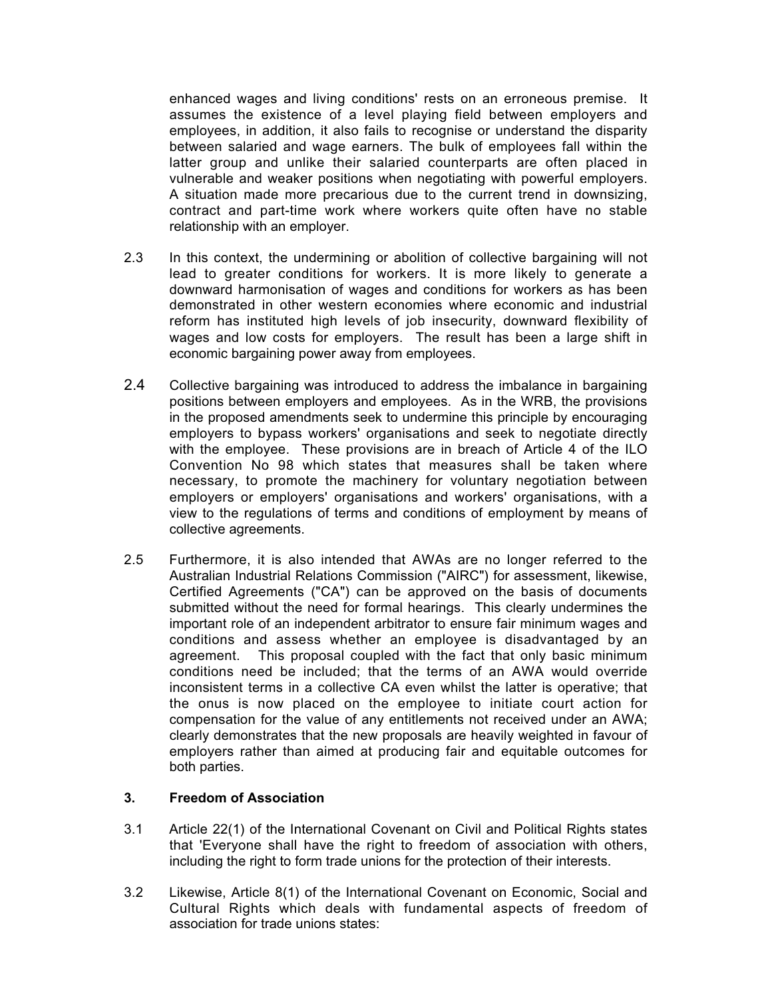enhanced wages and living conditions' rests on an erroneous premise. It assumes the existence of a level playing field between employers and employees, in addition, it also fails to recognise or understand the disparity between salaried and wage earners. The bulk of employees fall within the latter group and unlike their salaried counterparts are often placed in vulnerable and weaker positions when negotiating with powerful employers. A situation made more precarious due to the current trend in downsizing, contract and part-time work where workers quite often have no stable relationship with an employer.

- 2.3 In this context, the undermining or abolition of collective bargaining will not lead to greater conditions for workers. It is more likely to generate a downward harmonisation of wages and conditions for workers as has been demonstrated in other western economies where economic and industrial reform has instituted high levels of job insecurity, downward flexibility of wages and low costs for employers. The result has been a large shift in economic bargaining power away from employees.
- 2.4 Collective bargaining was introduced to address the imbalance in bargaining positions between employers and employees. As in the WRB, the provisions in the proposed amendments seek to undermine this principle by encouraging employers to bypass workers' organisations and seek to negotiate directly with the employee. These provisions are in breach of Article 4 of the ILO Convention No 98 which states that measures shall be taken where necessary, to promote the machinery for voluntary negotiation between employers or employers' organisations and workers' organisations, with a view to the regulations of terms and conditions of employment by means of collective agreements.
- 2.5 Furthermore, it is also intended that AWAs are no longer referred to the Australian Industrial Relations Commission ("AIRC") for assessment, likewise, Certified Agreements ("CA") can be approved on the basis of documents submitted without the need for formal hearings. This clearly undermines the important role of an independent arbitrator to ensure fair minimum wages and conditions and assess whether an employee is disadvantaged by an agreement. This proposal coupled with the fact that only basic minimum conditions need be included; that the terms of an AWA would override inconsistent terms in a collective CA even whilst the latter is operative; that the onus is now placed on the employee to initiate court action for compensation for the value of any entitlements not received under an AWA; clearly demonstrates that the new proposals are heavily weighted in favour of employers rather than aimed at producing fair and equitable outcomes for both parties.

#### **3. Freedom of Association**

- 3.1 Article 22(1) of the International Covenant on Civil and Political Rights states that 'Everyone shall have the right to freedom of association with others, including the right to form trade unions for the protection of their interests.
- 3.2 Likewise, Article 8(1) of the International Covenant on Economic, Social and Cultural Rights which deals with fundamental aspects of freedom of association for trade unions states: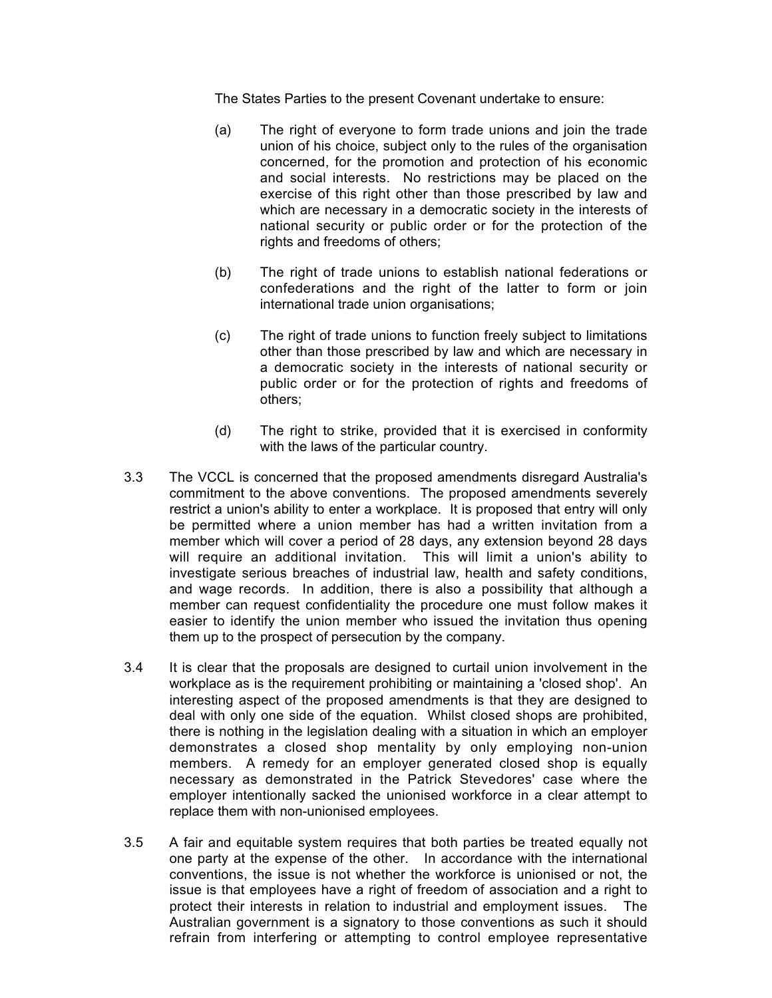The States Parties to the present Covenant undertake to ensure:

- (a) The right of everyone to form trade unions and join the trade union of his choice, subject only to the rules of the organisation concerned, for the promotion and protection of his economic and social interests. No restrictions may be placed on the exercise of this right other than those prescribed by law and which are necessary in a democratic society in the interests of national security or public order or for the protection of the rights and freedoms of others;
- (b) The right of trade unions to establish national federations or confederations and the right of the latter to form or join international trade union organisations;
- (c) The right of trade unions to function freely subject to limitations other than those prescribed by law and which are necessary in a democratic society in the interests of national security or public order or for the protection of rights and freedoms of others;
- (d) The right to strike, provided that it is exercised in conformity with the laws of the particular country.
- 3.3 The VCCL is concerned that the proposed amendments disregard Australia's commitment to the above conventions. The proposed amendments severely restrict a union's ability to enter a workplace. It is proposed that entry will only be permitted where a union member has had a written invitation from a member which will cover a period of 28 days, any extension beyond 28 days will require an additional invitation. This will limit a union's ability to investigate serious breaches of industrial law, health and safety conditions, and wage records. In addition, there is also a possibility that although a member can request confidentiality the procedure one must follow makes it easier to identify the union member who issued the invitation thus opening them up to the prospect of persecution by the company.
- 3.4 It is clear that the proposals are designed to curtail union involvement in the workplace as is the requirement prohibiting or maintaining a 'closed shop'. An interesting aspect of the proposed amendments is that they are designed to deal with only one side of the equation. Whilst closed shops are prohibited, there is nothing in the legislation dealing with a situation in which an employer demonstrates a closed shop mentality by only employing non-union members. A remedy for an employer generated closed shop is equally necessary as demonstrated in the Patrick Stevedores' case where the employer intentionally sacked the unionised workforce in a clear attempt to replace them with non-unionised employees.
- 3.5 A fair and equitable system requires that both parties be treated equally not one party at the expense of the other. In accordance with the international conventions, the issue is not whether the workforce is unionised or not, the issue is that employees have a right of freedom of association and a right to protect their interests in relation to industrial and employment issues. The Australian government is a signatory to those conventions as such it should refrain from interfering or attempting to control employee representative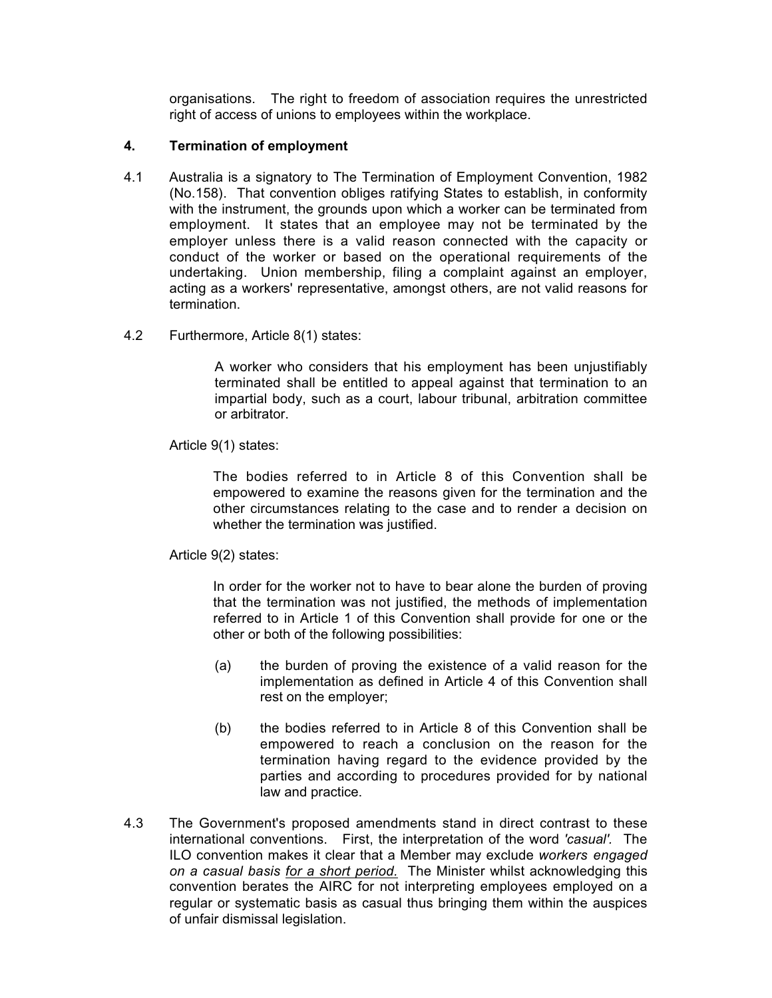organisations. The right to freedom of association requires the unrestricted right of access of unions to employees within the workplace.

## **4. Termination of employment**

- 4.1 Australia is a signatory to The Termination of Employment Convention, 1982 (No.158). That convention obliges ratifying States to establish, in conformity with the instrument, the grounds upon which a worker can be terminated from employment. It states that an employee may not be terminated by the employer unless there is a valid reason connected with the capacity or conduct of the worker or based on the operational requirements of the undertaking. Union membership, filing a complaint against an employer, acting as a workers' representative, amongst others, are not valid reasons for termination.
- 4.2 Furthermore, Article 8(1) states:

A worker who considers that his employment has been unjustifiably terminated shall be entitled to appeal against that termination to an impartial body, such as a court, labour tribunal, arbitration committee or arbitrator.

Article 9(1) states:

The bodies referred to in Article 8 of this Convention shall be empowered to examine the reasons given for the termination and the other circumstances relating to the case and to render a decision on whether the termination was justified.

## Article 9(2) states:

In order for the worker not to have to bear alone the burden of proving that the termination was not justified, the methods of implementation referred to in Article 1 of this Convention shall provide for one or the other or both of the following possibilities:

- (a) the burden of proving the existence of a valid reason for the implementation as defined in Article 4 of this Convention shall rest on the employer;
- (b) the bodies referred to in Article 8 of this Convention shall be empowered to reach a conclusion on the reason for the termination having regard to the evidence provided by the parties and according to procedures provided for by national law and practice.
- 4.3 The Government's proposed amendments stand in direct contrast to these international conventions. First, the interpretation of the word *'casual'.* The ILO convention makes it clear that a Member may exclude *workers engaged on a casual basis for a short period.* The Minister whilst acknowledging this convention berates the AIRC for not interpreting employees employed on a regular or systematic basis as casual thus bringing them within the auspices of unfair dismissal legislation.